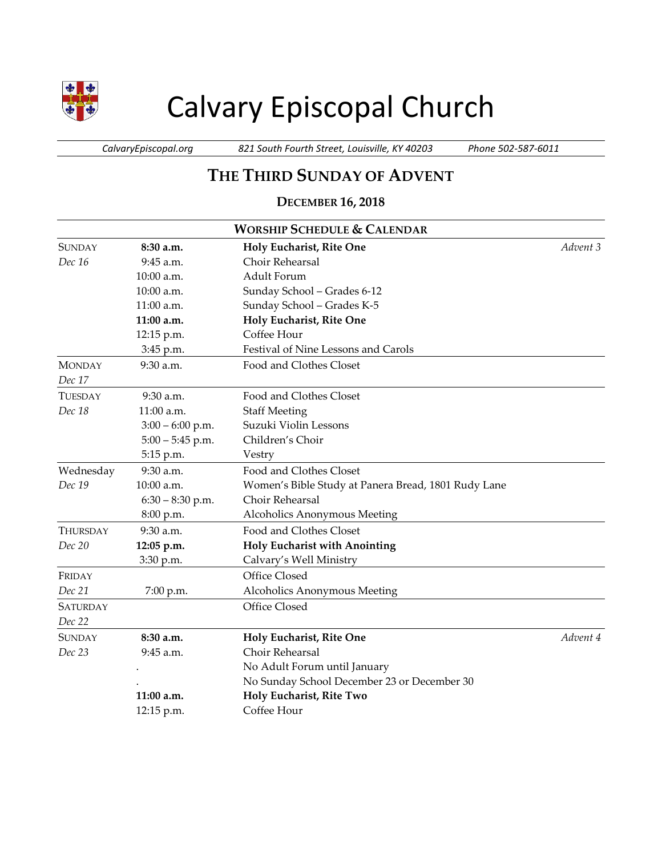

# Calvary Episcopal Church

*CalvaryEpiscopal.org 821 South Fourth Street, Louisville, KY 40203 Phone 502-587-6011*

# **THE THIRD SUNDAY OF ADVENT**

## **DECEMBER 16, 2018**

| <b>WORSHIP SCHEDULE &amp; CALENDAR</b> |                    |                                                     |          |  |  |
|----------------------------------------|--------------------|-----------------------------------------------------|----------|--|--|
| <b>SUNDAY</b>                          | 8:30 a.m.          | Holy Eucharist, Rite One                            | Advent 3 |  |  |
| Dec 16                                 | 9:45 a.m.          | Choir Rehearsal                                     |          |  |  |
|                                        | 10:00 a.m.         | Adult Forum                                         |          |  |  |
|                                        | 10:00 a.m.         | Sunday School - Grades 6-12                         |          |  |  |
|                                        | 11:00 a.m.         | Sunday School - Grades K-5                          |          |  |  |
|                                        | 11:00 a.m.         | Holy Eucharist, Rite One                            |          |  |  |
|                                        | 12:15 p.m.         | Coffee Hour                                         |          |  |  |
|                                        | 3:45 p.m.          | Festival of Nine Lessons and Carols                 |          |  |  |
| <b>MONDAY</b><br>Dec 17                | 9:30 a.m.          | Food and Clothes Closet                             |          |  |  |
| <b>TUESDAY</b>                         | 9:30 a.m.          | Food and Clothes Closet                             |          |  |  |
| Dec 18                                 | 11:00 a.m.         | <b>Staff Meeting</b>                                |          |  |  |
|                                        | $3:00 - 6:00$ p.m. | Suzuki Violin Lessons                               |          |  |  |
|                                        | $5:00 - 5:45$ p.m. | Children's Choir                                    |          |  |  |
|                                        | 5:15 p.m.          | Vestry                                              |          |  |  |
| Wednesday                              | 9:30 a.m.          | Food and Clothes Closet                             |          |  |  |
| Dec 19                                 | 10:00 a.m.         | Women's Bible Study at Panera Bread, 1801 Rudy Lane |          |  |  |
|                                        | $6:30 - 8:30$ p.m. | Choir Rehearsal                                     |          |  |  |
|                                        | 8:00 p.m.          | Alcoholics Anonymous Meeting                        |          |  |  |
| THURSDAY                               | 9:30 a.m.          | Food and Clothes Closet                             |          |  |  |
| Dec 20                                 | 12:05 p.m.         | <b>Holy Eucharist with Anointing</b>                |          |  |  |
|                                        | 3:30 p.m.          | Calvary's Well Ministry                             |          |  |  |
| FRIDAY                                 |                    | Office Closed                                       |          |  |  |
| Dec 21                                 | 7:00 p.m.          | Alcoholics Anonymous Meeting                        |          |  |  |
| <b>SATURDAY</b>                        |                    | Office Closed                                       |          |  |  |
| Dec 22                                 |                    |                                                     |          |  |  |
| <b>SUNDAY</b>                          | 8:30 a.m.          | Holy Eucharist, Rite One                            | Advent 4 |  |  |
| Dec 23                                 | 9:45 a.m.          | Choir Rehearsal                                     |          |  |  |
|                                        |                    | No Adult Forum until January                        |          |  |  |
|                                        |                    | No Sunday School December 23 or December 30         |          |  |  |
|                                        | 11:00 a.m.         | Holy Eucharist, Rite Two                            |          |  |  |
|                                        | 12:15 p.m.         | Coffee Hour                                         |          |  |  |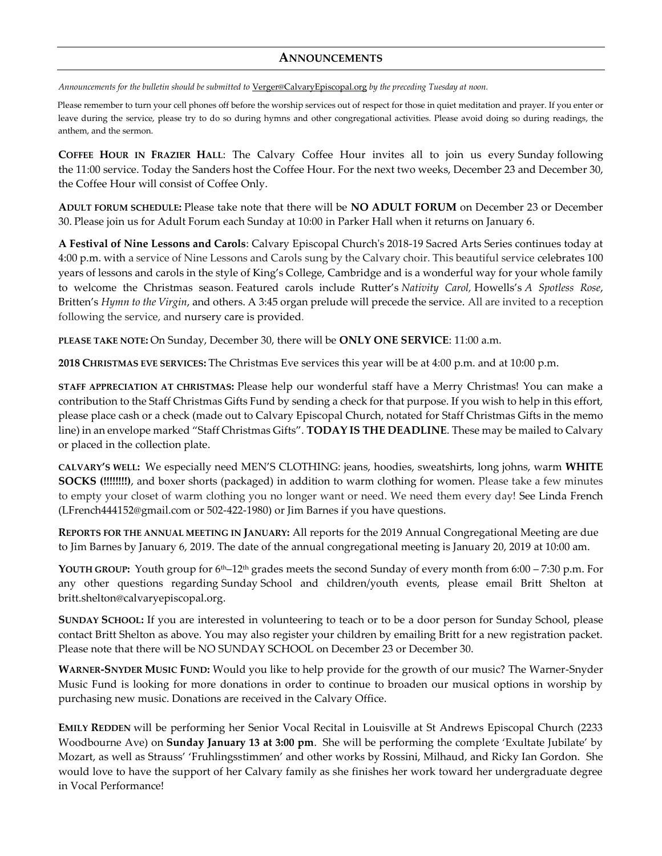#### **ANNOUNCEMENTS**

*Announcements for the bulletin should be submitted to* [Verger@CalvaryEpiscopal.org](mailto:Verger@CalvaryEpiscopal.org) *by the preceding Tuesday at noon.* 

Please remember to turn your cell phones off before the worship services out of respect for those in quiet meditation and prayer. If you enter or leave during the service, please try to do so during hymns and other congregational activities. Please avoid doing so during readings, the anthem, and the sermon.

**COFFEE HOUR IN FRAZIER HALL**: The Calvary Coffee Hour invites all to join us every Sunday following the 11:00 service. Today the Sanders host the Coffee Hour. For the next two weeks, December 23 and December 30, the Coffee Hour will consist of Coffee Only.

**ADULT FORUM SCHEDULE:** Please take note that there will be **NO ADULT FORUM** on December 23 or December 30. Please join us for Adult Forum each Sunday at 10:00 in Parker Hall when it returns on January 6.

**A Festival of Nine Lessons and Carols**: Calvary Episcopal Church's 2018-19 Sacred Arts Series continues today at 4:00 p.m. with a service of Nine Lessons and Carols sung by the Calvary choir. This beautiful service celebrates 100 years of lessons and carols in the style of King's College, Cambridge and is a wonderful way for your whole family to welcome the Christmas season. Featured carols include Rutter's *Nativity Carol,* Howells's *A Spotless Rose*, Britten's *Hymn to the Virgin*, and others. A 3:45 organ prelude will precede the service. All are invited to a reception following the service, and nursery care is provided.

**PLEASE TAKE NOTE:** On Sunday, December 30, there will be **ONLY ONE SERVICE**: 11:00 a.m.

**2018 CHRISTMAS EVE SERVICES:** The Christmas Eve services this year will be at 4:00 p.m. and at 10:00 p.m.

**STAFF APPRECIATION AT CHRISTMAS:** Please help our wonderful staff have a Merry Christmas! You can make a contribution to the Staff Christmas Gifts Fund by sending a check for that purpose. If you wish to help in this effort, please place cash or a check (made out to Calvary Episcopal Church, notated for Staff Christmas Gifts in the memo line) in an envelope marked "Staff Christmas Gifts". **TODAY IS THE DEADLINE**. These may be mailed to Calvary or placed in the collection plate.

**CALVARY'S WELL:** We especially need MEN'S CLOTHING: jeans, hoodies, sweatshirts, long johns, warm **WHITE SOCKS (!!!!!!!!)**, and boxer shorts (packaged) in addition to warm clothing for women. Please take a few minutes to empty your closet of warm clothing you no longer want or need. We need them every day! See Linda French [\(LFrench444152@gmail.com](mailto:LFrench444152@gmail.com) or 502-422-1980) or Jim Barnes if you have questions.

**REPORTS FOR THE ANNUAL MEETING IN JANUARY:** All reports for the 2019 Annual Congregational Meeting are due to Jim Barnes by January 6, 2019. The date of the annual congregational meeting is January 20, 2019 at 10:00 am.

YOUTH GROUP: Youth group for 6<sup>th</sup>–12<sup>th</sup> grades meets the second Sunday of every month from 6:00 – 7:30 p.m. For any other questions regarding Sunday School and children/youth events, please email Britt Shelton at [britt.shelton@calvaryepiscopal.org.](mailto:britt.shelton@calvaryepiscopal.org)

**SUNDAY SCHOOL:** If you are interested in volunteering to teach or to be a door person for Sunday School, please contact Britt Shelton as above. You may also register your children by emailing Britt for a new registration packet. Please note that there will be NO SUNDAY SCHOOL on December 23 or December 30.

**WARNER-SNYDER MUSIC FUND:** Would you like to help provide for the growth of our music? The Warner-Snyder Music Fund is looking for more donations in order to continue to broaden our musical options in worship by purchasing new music. Donations are received in the Calvary Office.

**EMILY REDDEN** will be performing her Senior Vocal Recital in Louisville at St Andrews Episcopal Church (2233 Woodbourne Ave) on **Sunday January 13 at 3:00 pm**. She will be performing the complete 'Exultate Jubilate' by Mozart, as well as Strauss' 'Fruhlingsstimmen' and other works by Rossini, Milhaud, and Ricky Ian Gordon. She would love to have the support of her Calvary family as she finishes her work toward her undergraduate degree in Vocal Performance!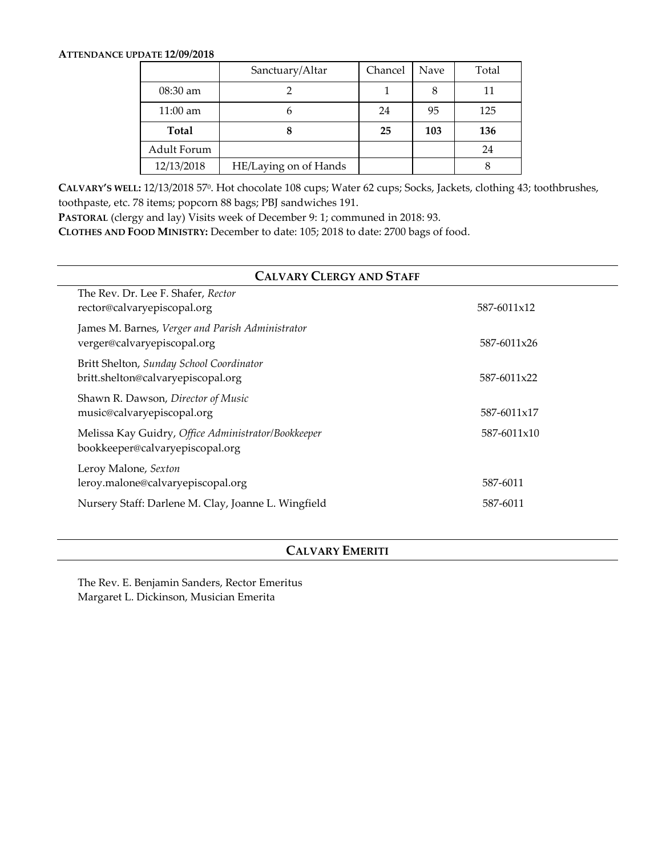#### **ATTENDANCE UPDATE 12/09/2018**

|              | Sanctuary/Altar       | Chancel | Nave | Total |
|--------------|-----------------------|---------|------|-------|
| 08:30 am     |                       |         |      | 11    |
| 11:00 am     |                       | 24      | 95   | 125   |
| <b>Total</b> |                       | 25      | 103  | 136   |
| Adult Forum  |                       |         |      | 24    |
| 12/13/2018   | HE/Laying on of Hands |         |      |       |

**CALVARY'S WELL:** 12/13/2018 57<sup>0</sup> . Hot chocolate 108 cups; Water 62 cups; Socks, Jackets, clothing 43; toothbrushes, toothpaste, etc. 78 items; popcorn 88 bags; PBJ sandwiches 191.

**PASTORAL** (clergy and lay) Visits week of December 9: 1; communed in 2018: 93.

**CLOTHES AND FOOD MINISTRY:** December to date: 105; 2018 to date: 2700 bags of food.

| <b>CALVARY CLERGY AND STAFF</b>                                                        |             |  |  |  |  |
|----------------------------------------------------------------------------------------|-------------|--|--|--|--|
| The Rev. Dr. Lee F. Shafer, Rector<br>rector@calvaryepiscopal.org                      | 587-6011x12 |  |  |  |  |
| James M. Barnes, Verger and Parish Administrator<br>verger@calvaryepiscopal.org        | 587-6011x26 |  |  |  |  |
| Britt Shelton, Sunday School Coordinator<br>britt.shelton@calvaryepiscopal.org         | 587-6011x22 |  |  |  |  |
| Shawn R. Dawson, Director of Music<br>music@calvaryepiscopal.org                       | 587-6011x17 |  |  |  |  |
| Melissa Kay Guidry, Office Administrator/Bookkeeper<br>bookkeeper@calvaryepiscopal.org | 587-6011x10 |  |  |  |  |
| Leroy Malone, Sexton<br>leroy.malone@calvaryepiscopal.org                              | 587-6011    |  |  |  |  |
| Nursery Staff: Darlene M. Clay, Joanne L. Wingfield                                    | 587-6011    |  |  |  |  |

## **CALVARY EMERITI**

The Rev. E. Benjamin Sanders, Rector Emeritus Margaret L. Dickinson, Musician Emerita